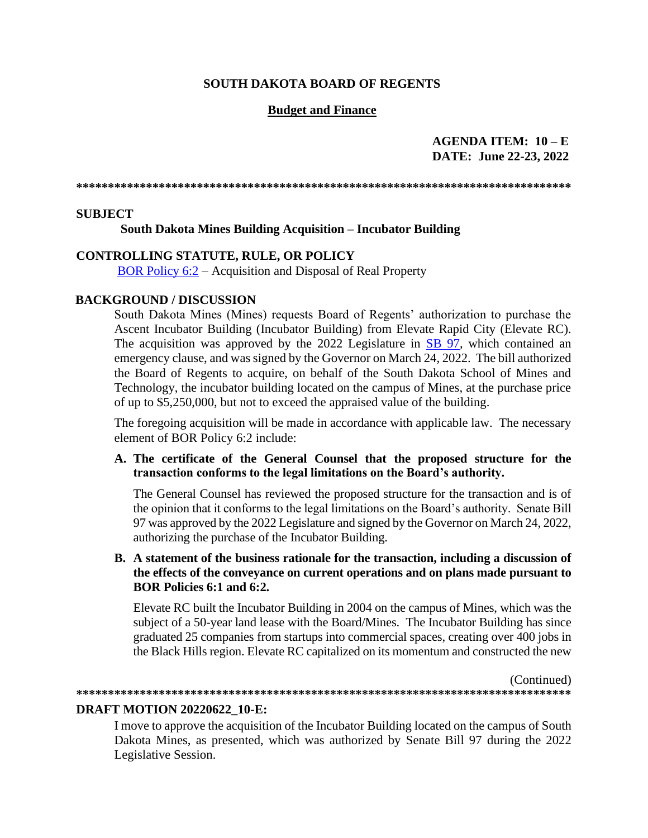### **SOUTH DAKOTA BOARD OF REGENTS**

### **Budget and Finance**

# AGENDA ITEM:  $10 - E$ DATE: June 22-23, 2022

#### **SUBJECT**

#### **South Dakota Mines Building Acquisition – Incubator Building**

#### **CONTROLLING STATUTE, RULE, OR POLICY**

BOR Policy 6:2 – Acquisition and Disposal of Real Property

#### **BACKGROUND / DISCUSSION**

South Dakota Mines (Mines) requests Board of Regents' authorization to purchase the Ascent Incubator Building (Incubator Building) from Elevate Rapid City (Elevate RC). The acquisition was approved by the 2022 Legislature in SB 97, which contained an emergency clause, and was signed by the Governor on March 24, 2022. The bill authorized the Board of Regents to acquire, on behalf of the South Dakota School of Mines and Technology, the incubator building located on the campus of Mines, at the purchase price of up to \$5,250,000, but not to exceed the appraised value of the building.

The foregoing acquisition will be made in accordance with applicable law. The necessary element of BOR Policy 6:2 include:

#### A. The certificate of the General Counsel that the proposed structure for the transaction conforms to the legal limitations on the Board's authority.

The General Counsel has reviewed the proposed structure for the transaction and is of the opinion that it conforms to the legal limitations on the Board's authority. Senate Bill 97 was approved by the 2022 Legislature and signed by the Governor on March 24, 2022, authorizing the purchase of the Incubator Building.

### B. A statement of the business rationale for the transaction, including a discussion of the effects of the conveyance on current operations and on plans made pursuant to BOR Policies 6:1 and 6:2.

Elevate RC built the Incubator Building in 2004 on the campus of Mines, which was the subject of a 50-year land lease with the Board/Mines. The Incubator Building has since graduated 25 companies from startups into commercial spaces, creating over 400 jobs in the Black Hills region. Elevate RC capitalized on its momentum and constructed the new

(Continued)

### **DRAFT MOTION 20220622 10-E:**

I move to approve the acquisition of the Incubator Building located on the campus of South Dakota Mines, as presented, which was authorized by Senate Bill 97 during the 2022 Legislative Session.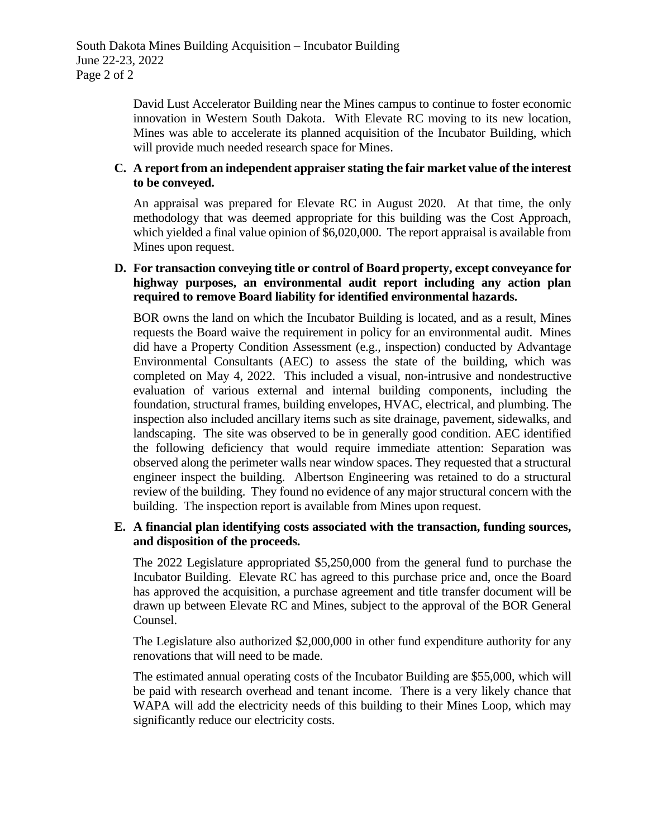David Lust Accelerator Building near the Mines campus to continue to foster economic innovation in Western South Dakota. With Elevate RC moving to its new location, Mines was able to accelerate its planned acquisition of the Incubator Building, which will provide much needed research space for Mines.

### **C. A report from an independent appraiser stating the fair market value of the interest to be conveyed.**

An appraisal was prepared for Elevate RC in August 2020. At that time, the only methodology that was deemed appropriate for this building was the Cost Approach, which yielded a final value opinion of \$6,020,000. The report appraisal is available from Mines upon request.

### **D. For transaction conveying title or control of Board property, except conveyance for highway purposes, an environmental audit report including any action plan required to remove Board liability for identified environmental hazards.**

BOR owns the land on which the Incubator Building is located, and as a result, Mines requests the Board waive the requirement in policy for an environmental audit. Mines did have a Property Condition Assessment (e.g., inspection) conducted by Advantage Environmental Consultants (AEC) to assess the state of the building, which was completed on May 4, 2022. This included a visual, non-intrusive and nondestructive evaluation of various external and internal building components, including the foundation, structural frames, building envelopes, HVAC, electrical, and plumbing. The inspection also included ancillary items such as site drainage, pavement, sidewalks, and landscaping. The site was observed to be in generally good condition. AEC identified the following deficiency that would require immediate attention: Separation was observed along the perimeter walls near window spaces. They requested that a structural engineer inspect the building. Albertson Engineering was retained to do a structural review of the building. They found no evidence of any major structural concern with the building. The inspection report is available from Mines upon request.

## **E. A financial plan identifying costs associated with the transaction, funding sources, and disposition of the proceeds.**

The 2022 Legislature appropriated \$5,250,000 from the general fund to purchase the Incubator Building. Elevate RC has agreed to this purchase price and, once the Board has approved the acquisition, a purchase agreement and title transfer document will be drawn up between Elevate RC and Mines, subject to the approval of the BOR General Counsel.

The Legislature also authorized \$2,000,000 in other fund expenditure authority for any renovations that will need to be made.

The estimated annual operating costs of the Incubator Building are \$55,000, which will be paid with research overhead and tenant income. There is a very likely chance that WAPA will add the electricity needs of this building to their Mines Loop, which may significantly reduce our electricity costs.